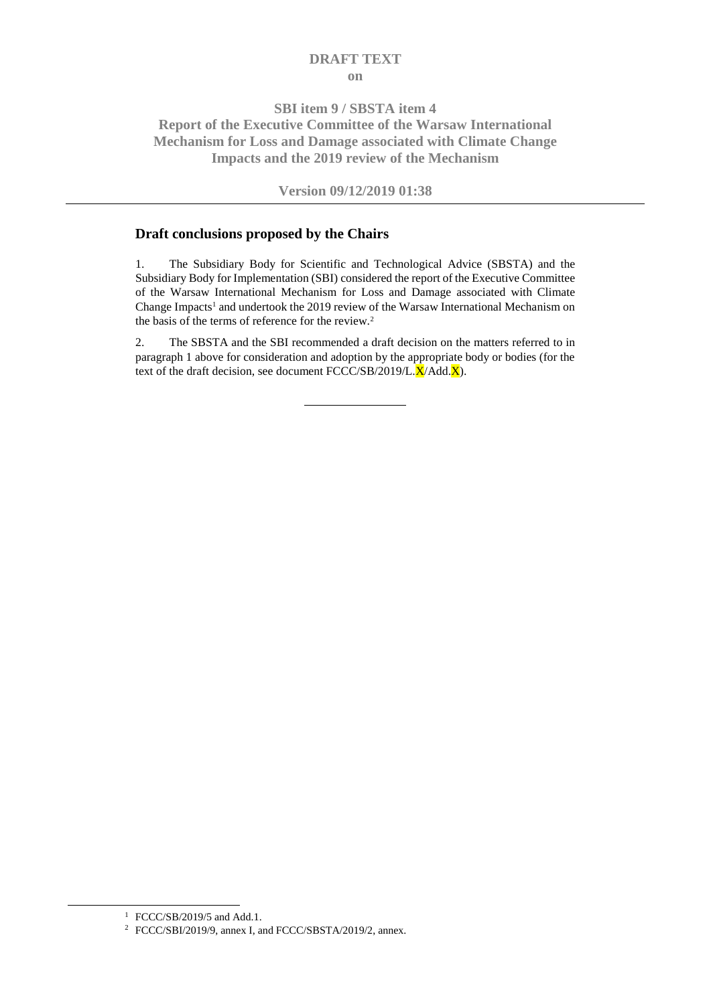# **DRAFT TEXT on**

# **SBI item 9 / SBSTA item 4 Report of the Executive Committee of the Warsaw International Mechanism for Loss and Damage associated with Climate Change Impacts and the 2019 review of the Mechanism**

# **Version 09/12/2019 01:38**

## **Draft conclusions proposed by the Chairs**

1. The Subsidiary Body for Scientific and Technological Advice (SBSTA) and the Subsidiary Body for Implementation (SBI) considered the report of the Executive Committee of the Warsaw International Mechanism for Loss and Damage associated with Climate Change Impacts<sup>1</sup> and undertook the 2019 review of the Warsaw International Mechanism on the basis of the terms of reference for the review.<sup>2</sup>

2. The SBSTA and the SBI recommended a draft decision on the matters referred to in paragraph 1 above for consideration and adoption by the appropriate body or bodies (for the text of the draft decision, see document  $\text{FCCC}/\text{SB}/2019/\text{L}.\overline{\text{X}}/\text{Add}.\overline{\text{X}})$ .

1

<sup>1</sup> FCCC/SB/2019/5 and Add.1.

<sup>2</sup> FCCC/SBI/2019/9, annex I, and FCCC/SBSTA/2019/2, annex.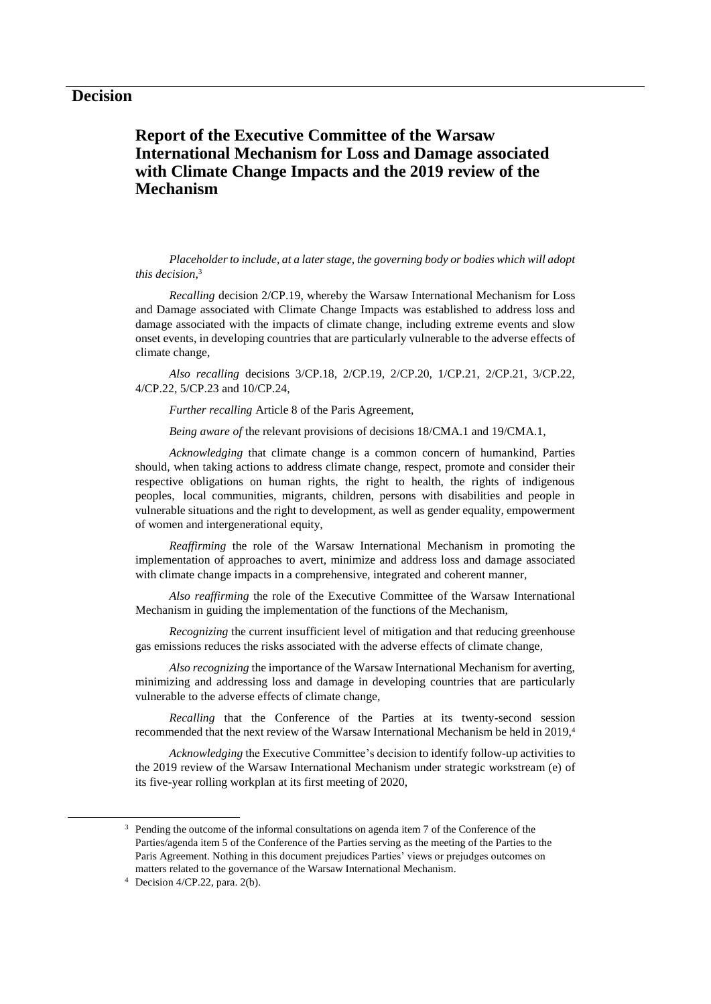# **Report of the Executive Committee of the Warsaw International Mechanism for Loss and Damage associated with Climate Change Impacts and the 2019 review of the Mechanism**

*Placeholder to include, at a later stage, the governing body or bodies which will adopt this decision*, 3

*Recalling* decision 2/CP.19, whereby the Warsaw International Mechanism for Loss and Damage associated with Climate Change Impacts was established to address loss and damage associated with the impacts of climate change, including extreme events and slow onset events, in developing countries that are particularly vulnerable to the adverse effects of climate change,

*Also recalling* decisions 3/CP.18, 2/CP.19, 2/CP.20, 1/CP.21, 2/CP.21, 3/CP.22, 4/CP.22, 5/CP.23 and 10/CP.24,

*Further recalling* Article 8 of the Paris Agreement,

*Being aware of* the relevant provisions of decisions 18/CMA.1 and 19/CMA.1,

*Acknowledging* that climate change is a common concern of humankind, Parties should, when taking actions to address climate change, respect, promote and consider their respective obligations on human rights, the right to health, the rights of indigenous peoples, local communities, migrants, children, persons with disabilities and people in vulnerable situations and the right to development, as well as gender equality, empowerment of women and intergenerational equity,

*Reaffirming* the role of the Warsaw International Mechanism in promoting the implementation of approaches to avert, minimize and address loss and damage associated with climate change impacts in a comprehensive, integrated and coherent manner,

*Also reaffirming* the role of the Executive Committee of the Warsaw International Mechanism in guiding the implementation of the functions of the Mechanism,

*Recognizing* the current insufficient level of mitigation and that reducing greenhouse gas emissions reduces the risks associated with the adverse effects of climate change,

*Also recognizing* the importance of the Warsaw International Mechanism for averting, minimizing and addressing loss and damage in developing countries that are particularly vulnerable to the adverse effects of climate change,

*Recalling* that the Conference of the Parties at its twenty-second session recommended that the next review of the Warsaw International Mechanism be held in 2019, 4

*Acknowledging* the Executive Committee's decision to identify follow-up activities to the 2019 review of the Warsaw International Mechanism under strategic workstream (e) of its five-year rolling workplan at its first meeting of 2020,

 $3$  Pending the outcome of the informal consultations on agenda item 7 of the Conference of the Parties/agenda item 5 of the Conference of the Parties serving as the meeting of the Parties to the Paris Agreement. Nothing in this document prejudices Parties' views or prejudges outcomes on matters related to the governance of the Warsaw International Mechanism.

<sup>4</sup> Decision 4/CP.22, para. 2(b).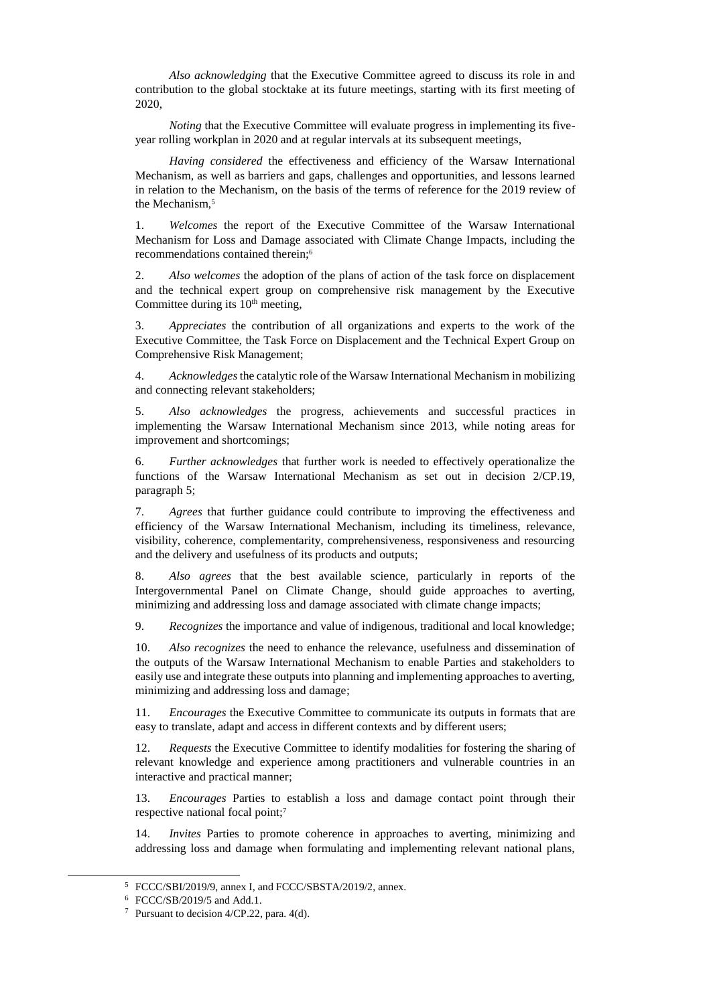*Also acknowledging* that the Executive Committee agreed to discuss its role in and contribution to the global stocktake at its future meetings, starting with its first meeting of 2020,

*Noting* that the Executive Committee will evaluate progress in implementing its fiveyear rolling workplan in 2020 and at regular intervals at its subsequent meetings,

*Having considered* the effectiveness and efficiency of the Warsaw International Mechanism, as well as barriers and gaps, challenges and opportunities, and lessons learned in relation to the Mechanism, on the basis of the terms of reference for the 2019 review of the Mechanism, 5

1. *Welcomes* the report of the Executive Committee of the Warsaw International Mechanism for Loss and Damage associated with Climate Change Impacts, including the recommendations contained therein;<sup>6</sup>

2. *Also welcomes* the adoption of the plans of action of the task force on displacement and the technical expert group on comprehensive risk management by the Executive Committee during its  $10<sup>th</sup>$  meeting,

3. *Appreciates* the contribution of all organizations and experts to the work of the Executive Committee, the Task Force on Displacement and the Technical Expert Group on Comprehensive Risk Management;

4. *Acknowledges* the catalytic role of the Warsaw International Mechanism in mobilizing and connecting relevant stakeholders;

5. *Also acknowledges* the progress, achievements and successful practices in implementing the Warsaw International Mechanism since 2013, while noting areas for improvement and shortcomings;

6. *Further acknowledges* that further work is needed to effectively operationalize the functions of the Warsaw International Mechanism as set out in decision 2/CP.19, paragraph 5;

7. *Agrees* that further guidance could contribute to improving the effectiveness and efficiency of the Warsaw International Mechanism, including its timeliness, relevance, visibility, coherence, complementarity, comprehensiveness, responsiveness and resourcing and the delivery and usefulness of its products and outputs;

8. *Also agrees* that the best available science, particularly in reports of the Intergovernmental Panel on Climate Change, should guide approaches to averting, minimizing and addressing loss and damage associated with climate change impacts;

9. *Recognizes* the importance and value of indigenous, traditional and local knowledge;

10. *Also recognizes* the need to enhance the relevance, usefulness and dissemination of the outputs of the Warsaw International Mechanism to enable Parties and stakeholders to easily use and integrate these outputs into planning and implementing approaches to averting, minimizing and addressing loss and damage;

11. *Encourages* the Executive Committee to communicate its outputs in formats that are easy to translate, adapt and access in different contexts and by different users;

12. *Requests* the Executive Committee to identify modalities for fostering the sharing of relevant knowledge and experience among practitioners and vulnerable countries in an interactive and practical manner;

13. *Encourages* Parties to establish a loss and damage contact point through their respective national focal point;<sup>7</sup>

14. *Invites* Parties to promote coherence in approaches to averting, minimizing and addressing loss and damage when formulating and implementing relevant national plans,

<sup>5</sup> FCCC/SBI/2019/9, annex I, and FCCC/SBSTA/2019/2, annex.

<sup>6</sup> FCCC/SB/2019/5 and Add.1.

<sup>&</sup>lt;sup>7</sup> Pursuant to decision  $4$ /CP.22, para.  $4$ (d).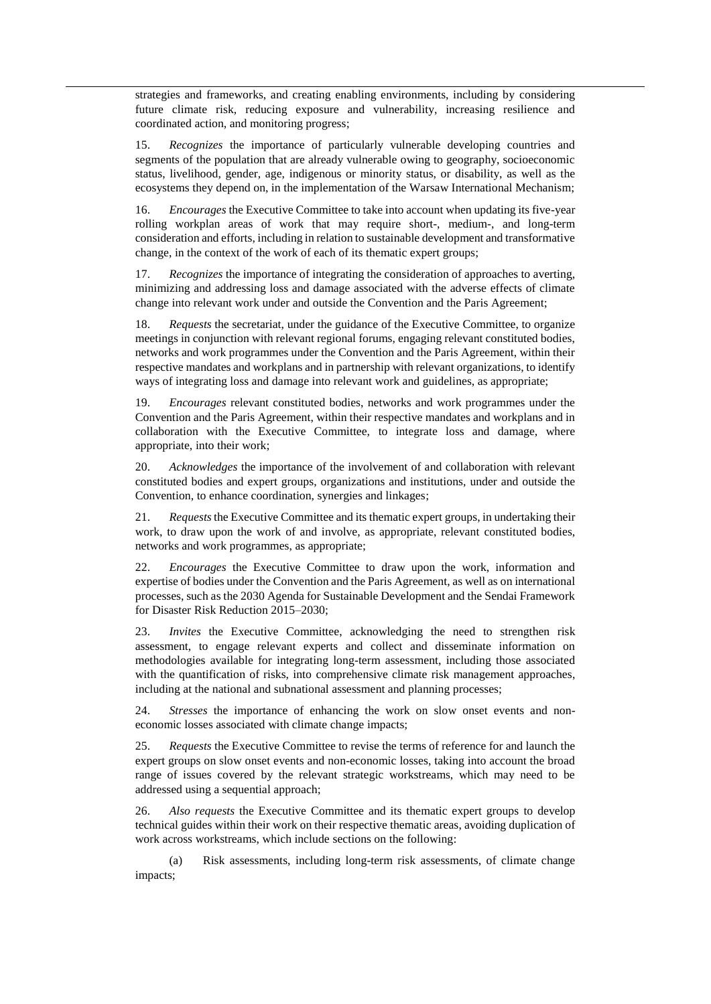strategies and frameworks, and creating enabling environments, including by considering future climate risk, reducing exposure and vulnerability, increasing resilience and coordinated action, and monitoring progress;

15. *Recognizes* the importance of particularly vulnerable developing countries and segments of the population that are already vulnerable owing to geography, socioeconomic status, livelihood, gender, age, indigenous or minority status, or disability, as well as the ecosystems they depend on, in the implementation of the Warsaw International Mechanism;

16. *Encourages* the Executive Committee to take into account when updating its five-year rolling workplan areas of work that may require short-, medium-, and long-term consideration and efforts, including in relation to sustainable development and transformative change, in the context of the work of each of its thematic expert groups;

17. *Recognizes* the importance of integrating the consideration of approaches to averting, minimizing and addressing loss and damage associated with the adverse effects of climate change into relevant work under and outside the Convention and the Paris Agreement;

18. *Requests* the secretariat, under the guidance of the Executive Committee, to organize meetings in conjunction with relevant regional forums, engaging relevant constituted bodies, networks and work programmes under the Convention and the Paris Agreement, within their respective mandates and workplans and in partnership with relevant organizations, to identify ways of integrating loss and damage into relevant work and guidelines, as appropriate;

19. *Encourages* relevant constituted bodies, networks and work programmes under the Convention and the Paris Agreement, within their respective mandates and workplans and in collaboration with the Executive Committee, to integrate loss and damage, where appropriate, into their work;

20. *Acknowledges* the importance of the involvement of and collaboration with relevant constituted bodies and expert groups, organizations and institutions, under and outside the Convention, to enhance coordination, synergies and linkages;

21. *Requests* the Executive Committee and its thematic expert groups, in undertaking their work, to draw upon the work of and involve, as appropriate, relevant constituted bodies, networks and work programmes, as appropriate;

22. *Encourages* the Executive Committee to draw upon the work, information and expertise of bodies under the Convention and the Paris Agreement, as well as on international processes, such as the 2030 Agenda for Sustainable Development and the Sendai Framework for Disaster Risk Reduction 2015–2030;

23. *Invites* the Executive Committee, acknowledging the need to strengthen risk assessment, to engage relevant experts and collect and disseminate information on methodologies available for integrating long-term assessment, including those associated with the quantification of risks, into comprehensive climate risk management approaches, including at the national and subnational assessment and planning processes;

24. *Stresses* the importance of enhancing the work on slow onset events and noneconomic losses associated with climate change impacts;

25. *Requests* the Executive Committee to revise the terms of reference for and launch the expert groups on slow onset events and non-economic losses, taking into account the broad range of issues covered by the relevant strategic workstreams, which may need to be addressed using a sequential approach;

26. *Also requests* the Executive Committee and its thematic expert groups to develop technical guides within their work on their respective thematic areas, avoiding duplication of work across workstreams, which include sections on the following:

(a) Risk assessments, including long-term risk assessments, of climate change impacts;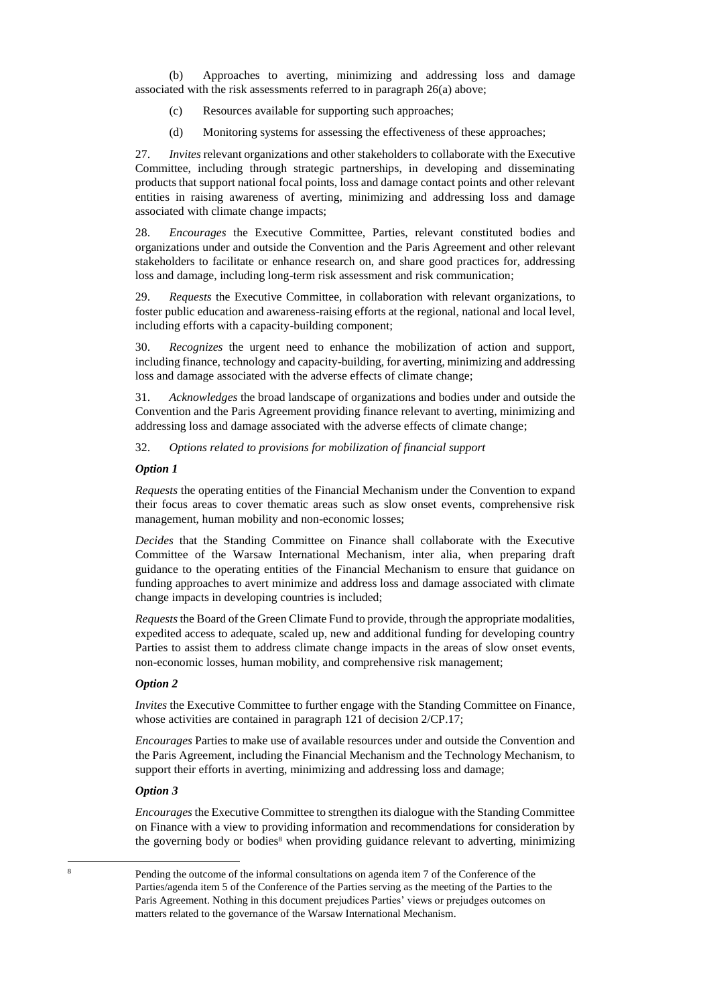(b) Approaches to averting, minimizing and addressing loss and damage associated with the risk assessments referred to in paragraph 26(a) above;

- (c) Resources available for supporting such approaches;
- (d) Monitoring systems for assessing the effectiveness of these approaches;

27. *Invites* relevant organizations and other stakeholders to collaborate with the Executive Committee, including through strategic partnerships, in developing and disseminating products that support national focal points, loss and damage contact points and other relevant entities in raising awareness of averting, minimizing and addressing loss and damage associated with climate change impacts;

28. *Encourages* the Executive Committee, Parties, relevant constituted bodies and organizations under and outside the Convention and the Paris Agreement and other relevant stakeholders to facilitate or enhance research on, and share good practices for, addressing loss and damage, including long-term risk assessment and risk communication;

29. *Requests* the Executive Committee, in collaboration with relevant organizations, to foster public education and awareness-raising efforts at the regional, national and local level, including efforts with a capacity-building component;

30. *Recognizes* the urgent need to enhance the mobilization of action and support, including finance, technology and capacity-building, for averting, minimizing and addressing loss and damage associated with the adverse effects of climate change;

31. *Acknowledges* the broad landscape of organizations and bodies under and outside the Convention and the Paris Agreement providing finance relevant to averting, minimizing and addressing loss and damage associated with the adverse effects of climate change;

32. *Options related to provisions for mobilization of financial support* 

## *Option 1*

*Requests* the operating entities of the Financial Mechanism under the Convention to expand their focus areas to cover thematic areas such as slow onset events, comprehensive risk management, human mobility and non-economic losses;

*Decides* that the Standing Committee on Finance shall collaborate with the Executive Committee of the Warsaw International Mechanism, inter alia, when preparing draft guidance to the operating entities of the Financial Mechanism to ensure that guidance on funding approaches to avert minimize and address loss and damage associated with climate change impacts in developing countries is included;

*Requests*the Board of the Green Climate Fund to provide, through the appropriate modalities, expedited access to adequate, scaled up, new and additional funding for developing country Parties to assist them to address climate change impacts in the areas of slow onset events, non-economic losses, human mobility, and comprehensive risk management;

#### *Option 2*

*Invites* the Executive Committee to further engage with the Standing Committee on Finance, whose activities are contained in paragraph 121 of decision  $2/CP.17$ ;

*Encourages* Parties to make use of available resources under and outside the Convention and the Paris Agreement, including the Financial Mechanism and the Technology Mechanism, to support their efforts in averting, minimizing and addressing loss and damage;

#### *Option 3*

-

*Encourages* the Executive Committee to strengthen its dialogue with the Standing Committee on Finance with a view to providing information and recommendations for consideration by the governing body or bodies<sup>8</sup> when providing guidance relevant to adverting, minimizing

<sup>8</sup> Pending the outcome of the informal consultations on agenda item 7 of the Conference of the Parties/agenda item 5 of the Conference of the Parties serving as the meeting of the Parties to the Paris Agreement. Nothing in this document prejudices Parties' views or prejudges outcomes on matters related to the governance of the Warsaw International Mechanism.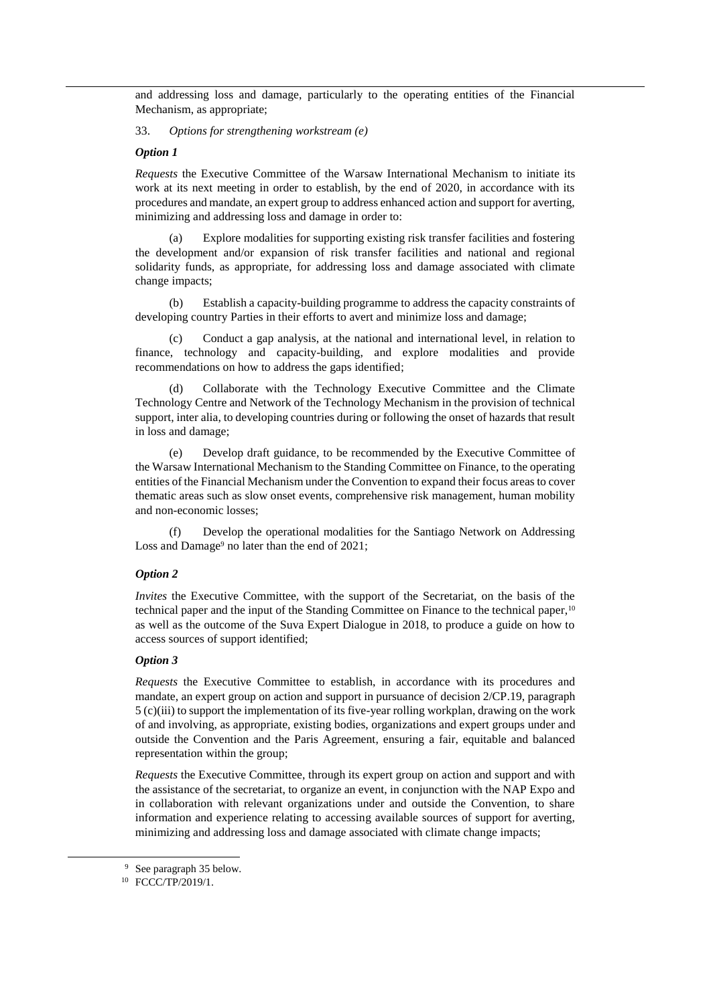and addressing loss and damage, particularly to the operating entities of the Financial Mechanism, as appropriate;

33. *Options for strengthening workstream (e)*

#### *Option 1*

*Requests* the Executive Committee of the Warsaw International Mechanism to initiate its work at its next meeting in order to establish, by the end of 2020, in accordance with its procedures and mandate, an expert group to address enhanced action and support for averting, minimizing and addressing loss and damage in order to:

Explore modalities for supporting existing risk transfer facilities and fostering the development and/or expansion of risk transfer facilities and national and regional solidarity funds, as appropriate, for addressing loss and damage associated with climate change impacts;

(b) Establish a capacity-building programme to address the capacity constraints of developing country Parties in their efforts to avert and minimize loss and damage;

Conduct a gap analysis, at the national and international level, in relation to finance, technology and capacity-building, and explore modalities and provide recommendations on how to address the gaps identified;

(d) Collaborate with the Technology Executive Committee and the Climate Technology Centre and Network of the Technology Mechanism in the provision of technical support, inter alia, to developing countries during or following the onset of hazards that result in loss and damage;

(e) Develop draft guidance, to be recommended by the Executive Committee of the Warsaw International Mechanism to the Standing Committee on Finance, to the operating entities of the Financial Mechanism under the Convention to expand their focus areas to cover thematic areas such as slow onset events, comprehensive risk management, human mobility and non-economic losses;

Develop the operational modalities for the Santiago Network on Addressing Loss and Damage<sup>9</sup> no later than the end of 2021;

#### *Option 2*

*Invites* the Executive Committee, with the support of the Secretariat, on the basis of the technical paper and the input of the Standing Committee on Finance to the technical paper,<sup>10</sup> as well as the outcome of the Suva Expert Dialogue in 2018, to produce a guide on how to access sources of support identified;

#### *Option 3*

*Requests* the Executive Committee to establish, in accordance with its procedures and mandate, an expert group on action and support in pursuance of decision 2/CP.19, paragraph 5 (c)(iii) to support the implementation of its five-year rolling workplan, drawing on the work of and involving, as appropriate, existing bodies, organizations and expert groups under and outside the Convention and the Paris Agreement, ensuring a fair, equitable and balanced representation within the group;

*Requests* the Executive Committee, through its expert group on action and support and with the assistance of the secretariat, to organize an event, in conjunction with the NAP Expo and in collaboration with relevant organizations under and outside the Convention, to share information and experience relating to accessing available sources of support for averting, minimizing and addressing loss and damage associated with climate change impacts;

<sup>9</sup> See paragraph 35 below.

<sup>&</sup>lt;sup>10</sup> FCCC/TP/2019/1.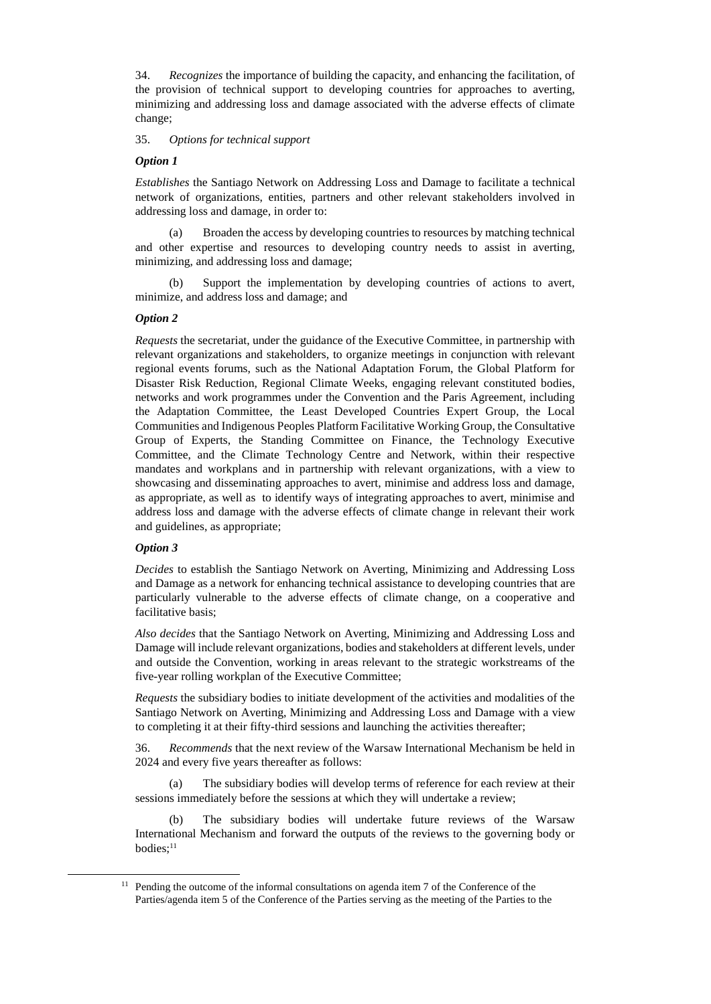34. *Recognizes* the importance of building the capacity, and enhancing the facilitation, of the provision of technical support to developing countries for approaches to averting, minimizing and addressing loss and damage associated with the adverse effects of climate change;

## 35. *Options for technical support*

## *Option 1*

*Establishes* the Santiago Network on Addressing Loss and Damage to facilitate a technical network of organizations, entities, partners and other relevant stakeholders involved in addressing loss and damage, in order to:

(a) Broaden the access by developing countries to resources by matching technical and other expertise and resources to developing country needs to assist in averting, minimizing, and addressing loss and damage;

(b) Support the implementation by developing countries of actions to avert, minimize, and address loss and damage; and

## *Option 2*

*Requests* the secretariat, under the guidance of the Executive Committee, in partnership with relevant organizations and stakeholders, to organize meetings in conjunction with relevant regional events forums, such as the National Adaptation Forum, the Global Platform for Disaster Risk Reduction, Regional Climate Weeks, engaging relevant constituted bodies, networks and work programmes under the Convention and the Paris Agreement, including the Adaptation Committee, the Least Developed Countries Expert Group, the Local Communities and Indigenous Peoples Platform Facilitative Working Group, the Consultative Group of Experts, the Standing Committee on Finance, the Technology Executive Committee, and the Climate Technology Centre and Network, within their respective mandates and workplans and in partnership with relevant organizations, with a view to showcasing and disseminating approaches to avert, minimise and address loss and damage, as appropriate, as well as to identify ways of integrating approaches to avert, minimise and address loss and damage with the adverse effects of climate change in relevant their work and guidelines, as appropriate;

### *Option 3*

-

*Decides* to establish the Santiago Network on Averting, Minimizing and Addressing Loss and Damage as a network for enhancing technical assistance to developing countries that are particularly vulnerable to the adverse effects of climate change, on a cooperative and facilitative basis;

*Also decides* that the Santiago Network on Averting, Minimizing and Addressing Loss and Damage will include relevant organizations, bodies and stakeholders at different levels, under and outside the Convention, working in areas relevant to the strategic workstreams of the five-year rolling workplan of the Executive Committee;

*Requests* the subsidiary bodies to initiate development of the activities and modalities of the Santiago Network on Averting, Minimizing and Addressing Loss and Damage with a view to completing it at their fifty-third sessions and launching the activities thereafter;

36. *Recommends* that the next review of the Warsaw International Mechanism be held in 2024 and every five years thereafter as follows:

(a) The subsidiary bodies will develop terms of reference for each review at their sessions immediately before the sessions at which they will undertake a review;

(b) The subsidiary bodies will undertake future reviews of the Warsaw International Mechanism and forward the outputs of the reviews to the governing body or bodies;<sup>11</sup>

 $11$  Pending the outcome of the informal consultations on agenda item 7 of the Conference of the Parties/agenda item 5 of the Conference of the Parties serving as the meeting of the Parties to the